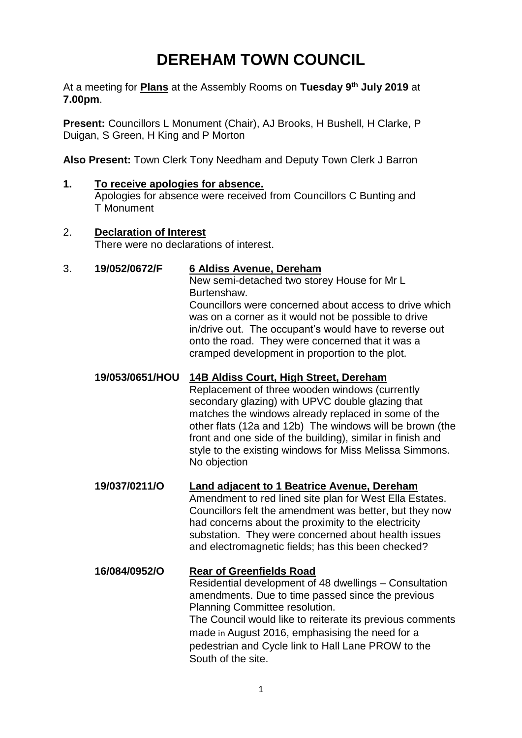# **DEREHAM TOWN COUNCIL**

At a meeting for **Plans** at the Assembly Rooms on **Tuesday 9 th July 2019** at **7.00pm**.

**Present:** Councillors L Monument (Chair), AJ Brooks, H Bushell, H Clarke, P Duigan, S Green, H King and P Morton

**Also Present:** Town Clerk Tony Needham and Deputy Town Clerk J Barron

**1. To receive apologies for absence.**  Apologies for absence were received from Councillors C Bunting and T Monument

## 2. **Declaration of Interest**

There were no declarations of interest.

#### 3. **19/052/0672/F 6 Aldiss Avenue, Dereham**

New semi-detached two storey House for Mr L Burtenshaw.

Councillors were concerned about access to drive which was on a corner as it would not be possible to drive in/drive out. The occupant's would have to reverse out onto the road. They were concerned that it was a cramped development in proportion to the plot.

## **19/053/0651/HOU 14B Aldiss Court, High Street, Dereham**

Replacement of three wooden windows (currently secondary glazing) with UPVC double glazing that matches the windows already replaced in some of the other flats (12a and 12b) The windows will be brown (the front and one side of the building), similar in finish and style to the existing windows for Miss Melissa Simmons. No objection

**19/037/0211/O Land adjacent to 1 Beatrice Avenue, Dereham** Amendment to red lined site plan for West Ella Estates. Councillors felt the amendment was better, but they now had concerns about the proximity to the electricity substation. They were concerned about health issues and electromagnetic fields; has this been checked?

## **16/084/0952/O Rear of Greenfields Road** Residential development of 48 dwellings – Consultation amendments. Due to time passed since the previous Planning Committee resolution. The Council would like to reiterate its previous comments made in August 2016, emphasising the need for a pedestrian and Cycle link to Hall Lane PROW to the South of the site.